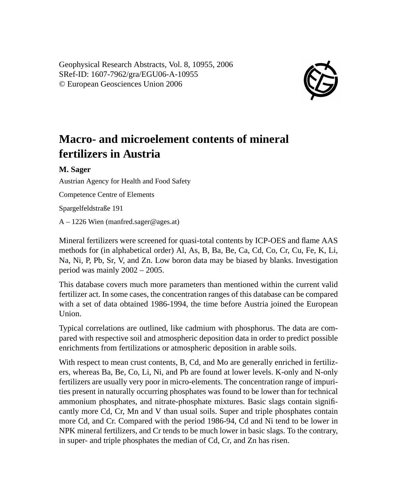Geophysical Research Abstracts, Vol. 8, 10955, 2006 SRef-ID: 1607-7962/gra/EGU06-A-10955 © European Geosciences Union 2006



## **Macro- and microelement contents of mineral fertilizers in Austria**

## **M. Sager**

Austrian Agency for Health and Food Safety

Competence Centre of Elements

Spargelfeldstraße 191

A – 1226 Wien (manfred.sager@ages.at)

Mineral fertilizers were screened for quasi-total contents by ICP-OES and flame AAS methods for (in alphabetical order) Al, As, B, Ba, Be, Ca, Cd, Co, Cr, Cu, Fe, K, Li, Na, Ni, P, Pb, Sr, V, and Zn. Low boron data may be biased by blanks. Investigation period was mainly 2002 – 2005.

This database covers much more parameters than mentioned within the current valid fertilizer act. In some cases, the concentration ranges of this database can be compared with a set of data obtained 1986-1994, the time before Austria joined the European Union.

Typical correlations are outlined, like cadmium with phosphorus. The data are compared with respective soil and atmospheric deposition data in order to predict possible enrichments from fertilizations or atmospheric deposition in arable soils.

With respect to mean crust contents, B, Cd, and Mo are generally enriched in fertilizers, whereas Ba, Be, Co, Li, Ni, and Pb are found at lower levels. K-only and N-only fertilizers are usually very poor in micro-elements. The concentration range of impurities present in naturally occurring phosphates was found to be lower than for technical ammonium phosphates, and nitrate-phosphate mixtures. Basic slags contain significantly more Cd, Cr, Mn and V than usual soils. Super and triple phosphates contain more Cd, and Cr. Compared with the period 1986-94, Cd and Ni tend to be lower in NPK mineral fertilizers, and Cr tends to be much lower in basic slags. To the contrary, in super- and triple phosphates the median of Cd, Cr, and Zn has risen.